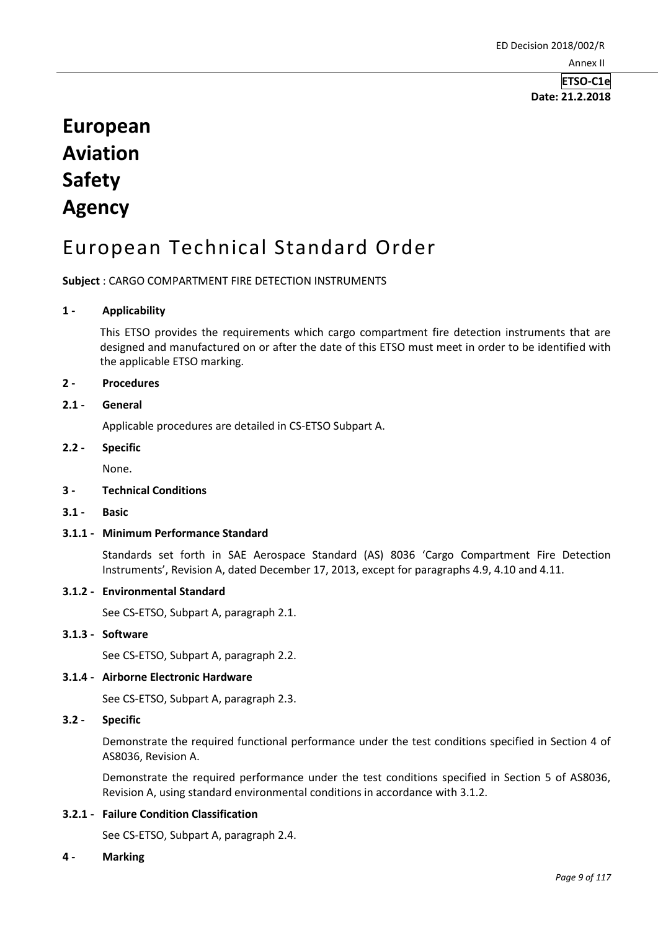**Date: 21.2.2018**

# **European Aviation Safety Agency**

# European Technical Standard Order

**Subject** : CARGO COMPARTMENT FIRE DETECTION INSTRUMENTS

## **1 - Applicability**

This ETSO provides the requirements which cargo compartment fire detection instruments that are designed and manufactured on or after the date of this ETSO must meet in order to be identified with the applicable ETSO marking.

# **2 - Procedures**

# **2.1 - General**

Applicable procedures are detailed in CS-ETSO Subpart A.

## **2.2 - Specific**

None.

#### **3 - Technical Conditions**

**3.1 - Basic**

## **3.1.1 - Minimum Performance Standard**

Standards set forth in SAE Aerospace Standard (AS) 8036 'Cargo Compartment Fire Detection Instruments', Revision A, dated December 17, 2013, except for paragraphs 4.9, 4.10 and 4.11.

#### **3.1.2 - Environmental Standard**

See CS-ETSO, Subpart A, paragraph 2.1.

#### **3.1.3 - Software**

See CS-ETSO, Subpart A, paragraph 2.2.

### **3.1.4 - Airborne Electronic Hardware**

See CS-ETSO, Subpart A, paragraph 2.3.

# **3.2 - Specific**

Demonstrate the required functional performance under the test conditions specified in Section 4 of AS8036, Revision A.

Demonstrate the required performance under the test conditions specified in Section 5 of AS8036, Revision A, using standard environmental conditions in accordance with 3.1.2.

## **3.2.1 - Failure Condition Classification**

See CS-ETSO, Subpart A, paragraph 2.4.

#### **4 - Marking**